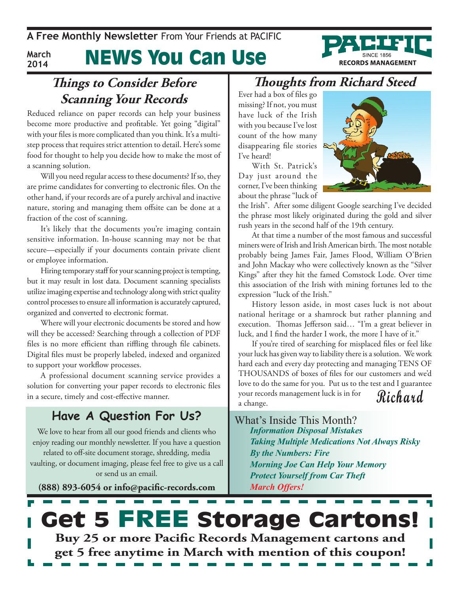#### News You Can Use **March 2014**



Reduced reliance on paper records can help your business become more productive and profitable. Yet going "digital" with your files is more complicated than you think. It's a multistep process that requires strict attention to detail. Here's some food for thought to help you decide how to make the most of a scanning solution.

Will you need regular access to these documents? If so, they are prime candidates for converting to electronic files. On the other hand, if your records are of a purely archival and inactive nature, storing and managing them offsite can be done at a fraction of the cost of scanning.

It's likely that the documents you're imaging contain sensitive information. In-house scanning may not be that secure—especially if your documents contain private client or employee information.

Hiring temporary staff for your scanning project is tempting, but it may result in lost data. Document scanning specialists utilize imaging expertise and technology along with strict quality control processes to ensure all information is accurately captured, organized and converted to electronic format.

Where will your electronic documents be stored and how will they be accessed? Searching through a collection of PDF files is no more efficient than riffling through file cabinets. Digital files must be properly labeled, indexed and organized to support your workflow processes.

A professional document scanning service provides a solution for converting your paper records to electronic files in a secure, timely and cost-effective manner.

### **Have A Question For Us?**

We love to hear from all our good friends and clients who enjoy reading our monthly newsletter. If you have a question related to off-site document storage, shredding, media vaulting, or document imaging, please feel free to give us a call or send us an email.

**(888) 893-6054 or info@pacific-records.com**

### **Thoughts from Richard Steed**

Ever had a box of files go missing? If not, you must have luck of the Irish with you because I've lost count of the how many disappearing file stories I've heard!

With St. Patrick's Day just around the corner, I've been thinking about the phrase "luck of



**RECORDS MANAGEMENT** 

the Irish". After some diligent Google searching I've decided the phrase most likely originated during the gold and silver rush years in the second half of the 19th century.

At that time a number of the most famous and successful miners were of Irish and Irish American birth. The most notable probably being James Fair, James Flood, William O'Brien and John Mackay who were collectively known as the "Silver Kings" after they hit the famed Comstock Lode. Over time this association of the Irish with mining fortunes led to the expression "luck of the Irish."

History lesson aside, in most cases luck is not about national heritage or a shamrock but rather planning and execution. Thomas Jefferson said… "I'm a great believer in luck, and I find the harder I work, the more I have of it."

**Richard** If you're tired of searching for misplaced files or feel like your luck has given way to liability there is a solution. We work hard each and every day protecting and managing TENS OF THOUSANDS of boxes of files for our customers and we'd love to do the same for you. Put us to the test and I guarantee your records management luck is in for a change.

What's Inside This Month? *Information Disposal Mistakes Taking Multiple Medications Not Always Risky By the Numbers: Fire Morning Joe Can Help Your Memory Protect Yourself from Car Theft March Offers!*

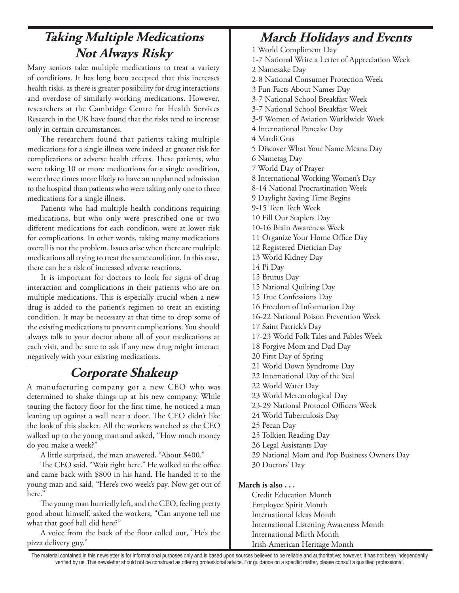## **Taking Multiple Medications Not Always Risky**

Many seniors take multiple medications to treat a variety of conditions. It has long been accepted that this increases health risks, as there is greater possibility for drug interactions and overdose of similarly-working medications. However, researchers at the Cambridge Centre for Health Services Research in the UK have found that the risks tend to increase only in certain circumstances.

The researchers found that patients taking multiple medications for a single illness were indeed at greater risk for complications or adverse health effects. These patients, who were taking 10 or more medications for a single condition, were three times more likely to have an unplanned admission to the hospital than patients who were taking only one to three medications for a single illness.

Patients who had multiple health conditions requiring medications, but who only were prescribed one or two different medications for each condition, were at lower risk for complications. In other words, taking many medications overall is not the problem. Issues arise when there are multiple medications all trying to treat the same condition. In this case, there can be a risk of increased adverse reactions.

It is important for doctors to look for signs of drug interaction and complications in their patients who are on multiple medications. This is especially crucial when a new drug is added to the patient's regimen to treat an existing condition. It may be necessary at that time to drop some of the existing medications to prevent complications. You should always talk to your doctor about all of your medications at each visit, and be sure to ask if any new drug might interact negatively with your existing medications.

### **Corporate Shakeup**

A manufacturing company got a new CEO who was determined to shake things up at his new company. While touring the factory floor for the first time, he noticed a man leaning up against a wall near a door. The CEO didn't like the look of this slacker. All the workers watched as the CEO walked up to the young man and asked, "How much money do you make a week?"

A little surprised, the man answered, "About \$400."

The CEO said, "Wait right here." He walked to the office and came back with \$800 in his hand. He handed it to the young man and said, "Here's two week's pay. Now get out of here."

The young man hurriedly left, and the CEO, feeling pretty good about himself, asked the workers, "Can anyone tell me what that goof ball did here?"

A voice from the back of the floor called out, "He's the pizza delivery guy."

## **March Holidays and Events**

1 World Compliment Day

- 1-7 National Write a Letter of Appreciation Week 2 Namesake Day
- 2-8 National Consumer Protection Week
- 3 Fun Facts About Names Day
- 3-7 National School Breakfast Week
- 3-7 National School Breakfast Week

3-9 Women of Aviation Worldwide Week

4 International Pancake Day

- 4 Mardi Gras
- 5 Discover What Your Name Means Day
- 6 Nametag Day

7 World Day of Prayer

- 8 International Working Women's Day
- 8-14 National Procrastination Week
- 9 Daylight Saving Time Begins
- 9-15 Teen Tech Week
- 10 Fill Our Staplers Day
- 10-16 Brain Awareness Week
- 11 Organize Your Home Office Day
- 12 Registered Dietician Day

13 World Kidney Day

- 14 Pi Day
- 15 Brutus Day
- 15 National Quilting Day
- 15 True Confessions Day
- 16 Freedom of Information Day
- 16-22 National Poison Prevention Week
- 17 Saint Patrick's Day
- 17-23 World Folk Tales and Fables Week
- 18 Forgive Mom and Dad Day
- 20 First Day of Spring
- 21 World Down Syndrome Day
- 22 International Day of the Seal
- 22 World Water Day
- 23 World Meteorological Day
- 23-29 National Protocol Officers Week
- 24 World Tuberculosis Day
- 25 Pecan Day
- 25 Tolkien Reading Day
- 26 Legal Assistants Day
- 29 National Mom and Pop Business Owners Day
- 30 Doctors' Day

#### **March is also . . .**

Credit Education Month Employee Spirit Month International Ideas Month International Listening Awareness Month International Mirth Month Irish-American Heritage Month

The material contained in this newsletter is for informational purposes only and is based upon sources believed to be reliable and authoritative; however, it has not been independently verified by us. This newsletter should not be construed as offering professional advice. For guidance on a specific matter, please consult a qualified professional.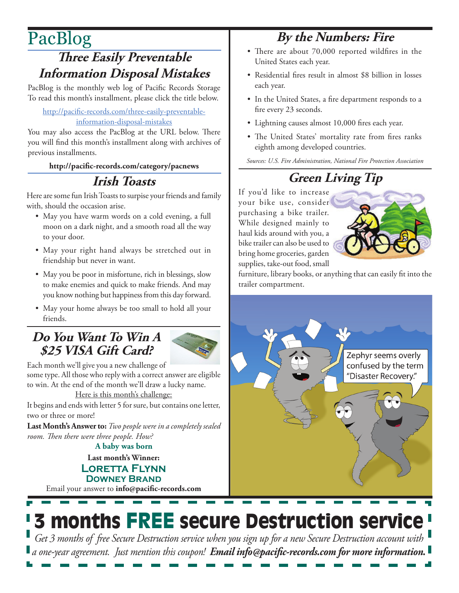# PacBlog

## **Three Easily Preventable Information Disposal Mistakes**

PacBlog is the monthly web log of Pacific Records Storage To read this month's installment, please click the title below.

#### [http://pacific-records.com/three-easily-preventable](http://pacific-records.com/three-easily-preventable-information-disposal-mistakes)[information-disposal-mistakes](http://pacific-records.com/three-easily-preventable-information-disposal-mistakes)

You may also access the PacBlog at the URL below. There you will find this month's installment along with archives of previous installments.

#### **http://pacific-records.com/category/pacnews**

## **Irish Toasts**

Here are some fun Irish Toasts to surpise your friends and family with, should the occasion arise.

- May you have warm words on a cold evening, a full moon on a dark night, and a smooth road all the way to your door.
- May your right hand always be stretched out in friendship but never in want.
- May you be poor in misfortune, rich in blessings, slow to make enemies and quick to make friends. And may you know nothing but happiness from this day forward.
- May your home always be too small to hold all your friends.

### **Do You Want To Win A \$25 VISA Gift Card?**



Each month we'll give you a new challenge of some type. All those who reply with a correct answer are eligible to win. At the end of the month we'll draw a lucky name.

Here is this month's challenge:

It begins and ends with letter 5 for sure, but contains one letter, two or three or more!

**Last Month's Answer to:** *Two people were in a completely sealed room. Then there were three people. How?*

**A baby was born**

**Last month's Winner: Loretta Flynn Downey Brand**

Email your answer to **info@pacific-records.com**

## **By the Numbers: Fire**

- There are about 70,000 reported wildfires in the United States each year.
- Residential fires result in almost \$8 billion in losses each year.
- In the United States, a fire department responds to a fire every 23 seconds.
- Lightning causes almost 10,000 fires each year.
- The United States' mortality rate from fires ranks eighth among developed countries.

*Sources: U.S. Fire Administration, National Fire Protection Association*

## **Green Living Tip**

If you'd like to increase your bike use, consider purchasing a bike trailer. While designed mainly to haul kids around with you, a bike trailer can also be used to bring home groceries, garden supplies, take-out food, small



furniture, library books, or anything that can easily fit into the trailer compartment.



# 3 months FREE secure Destruction service

*Get 3 months of free Secure Destruction service when you sign up for a new Secure Destruction account with a one-year agreement. Just mention this coupon! Email info@pacific-records.com for more information.*